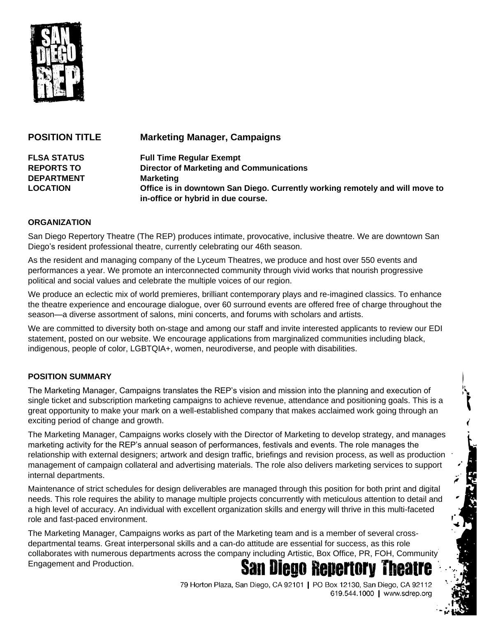

| <b>POSITION TITLE</b> | <b>Marketing Manager, Campaigns</b>                                                                                |
|-----------------------|--------------------------------------------------------------------------------------------------------------------|
| <b>FLSA STATUS</b>    | <b>Full Time Regular Exempt</b>                                                                                    |
| <b>REPORTS TO</b>     | <b>Director of Marketing and Communications</b>                                                                    |
| <b>DEPARTMENT</b>     | <b>Marketing</b>                                                                                                   |
| <b>LOCATION</b>       | Office is in downtown San Diego. Currently working remotely and will move to<br>in-office or hybrid in due course. |

### **ORGANIZATION**

San Diego Repertory Theatre (The REP) produces intimate, provocative, inclusive theatre. We are downtown San Diego's resident professional theatre, currently celebrating our 46th season.

As the resident and managing company of the Lyceum Theatres, we produce and host over 550 events and performances a year. We promote an interconnected community through vivid works that nourish progressive political and social values and celebrate the multiple voices of our region.

We produce an eclectic mix of world premieres, brilliant contemporary plays and re-imagined classics. To enhance the theatre experience and encourage dialogue, over 60 surround events are offered free of charge throughout the season—a diverse assortment of salons, mini concerts, and forums with scholars and artists.

We are committed to diversity both on-stage and among our staff and invite interested applicants to review our EDI statement, posted on our website. We encourage applications from marginalized communities including black, indigenous, people of color, LGBTQIA+, women, neurodiverse, and people with disabilities.

## **POSITION SUMMARY**

The Marketing Manager, Campaigns translates the REP's vision and mission into the planning and execution of single ticket and subscription marketing campaigns to achieve revenue, attendance and positioning goals. This is a great opportunity to make your mark on a well-established company that makes acclaimed work going through an exciting period of change and growth.

The Marketing Manager, Campaigns works closely with the Director of Marketing to develop strategy, and manages marketing activity for the REP's annual season of performances, festivals and events. The role manages the relationship with external designers; artwork and design traffic, briefings and revision process, as well as production management of campaign collateral and advertising materials. The role also delivers marketing services to support internal departments.

Maintenance of strict schedules for design deliverables are managed through this position for both print and digital needs. This role requires the ability to manage multiple projects concurrently with meticulous attention to detail and a high level of accuracy. An individual with excellent organization skills and energy will thrive in this multi-faceted role and fast-paced environment.

The Marketing Manager, Campaigns works as part of the Marketing team and is a member of several crossdepartmental teams. Great interpersonal skills and a can-do attitude are essential for success, as this role collaborates with numerous departments across the company including Artistic, Box Office, PR, FOH, Community **San Diego Repertory** Engagement and Production.

> 79 Horton Plaza, San Diego, CA 92101 | PO Box 12130, San Diego, CA 92112 619.544.1000 | www.sdrep.org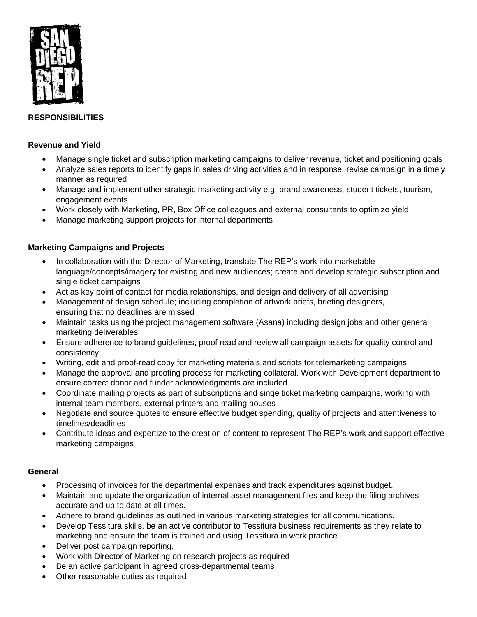

# **RESPONSIBILITIES**

### **Revenue and Yield**

- Manage single ticket and subscription marketing campaigns to deliver revenue, ticket and positioning goals
- Analyze sales reports to identify gaps in sales driving activities and in response, revise campaign in a timely manner as required
- Manage and implement other strategic marketing activity e.g. brand awareness, student tickets, tourism, engagement events
- Work closely with Marketing, PR, Box Office colleagues and external consultants to optimize yield
- Manage marketing support projects for internal departments

### **Marketing Campaigns and Projects**

- In collaboration with the Director of Marketing, translate The REP's work into marketable language/concepts/imagery for existing and new audiences; create and develop strategic subscription and single ticket campaigns
- Act as key point of contact for media relationships, and design and delivery of all advertising
- Management of design schedule; including completion of artwork briefs, briefing designers, ensuring that no deadlines are missed
- Maintain tasks using the project management software (Asana) including design jobs and other general marketing deliverables
- Ensure adherence to brand guidelines, proof read and review all campaign assets for quality control and consistency
- Writing, edit and proof-read copy for marketing materials and scripts for telemarketing campaigns
- Manage the approval and proofing process for marketing collateral. Work with Development department to ensure correct donor and funder acknowledgments are included
- Coordinate mailing projects as part of subscriptions and singe ticket marketing campaigns, working with internal team members, external printers and mailing houses
- Negotiate and source quotes to ensure effective budget spending, quality of projects and attentiveness to timelines/deadlines
- Contribute ideas and expertize to the creation of content to represent The REP's work and support effective marketing campaigns

## **General**

- Processing of invoices for the departmental expenses and track expenditures against budget.
- Maintain and update the organization of internal asset management files and keep the filing archives accurate and up to date at all times.
- Adhere to brand guidelines as outlined in various marketing strategies for all communications.
- Develop Tessitura skills, be an active contributor to Tessitura business requirements as they relate to marketing and ensure the team is trained and using Tessitura in work practice
- Deliver post campaign reporting.
- Work with Director of Marketing on research projects as required
- Be an active participant in agreed cross-departmental teams
- Other reasonable duties as required